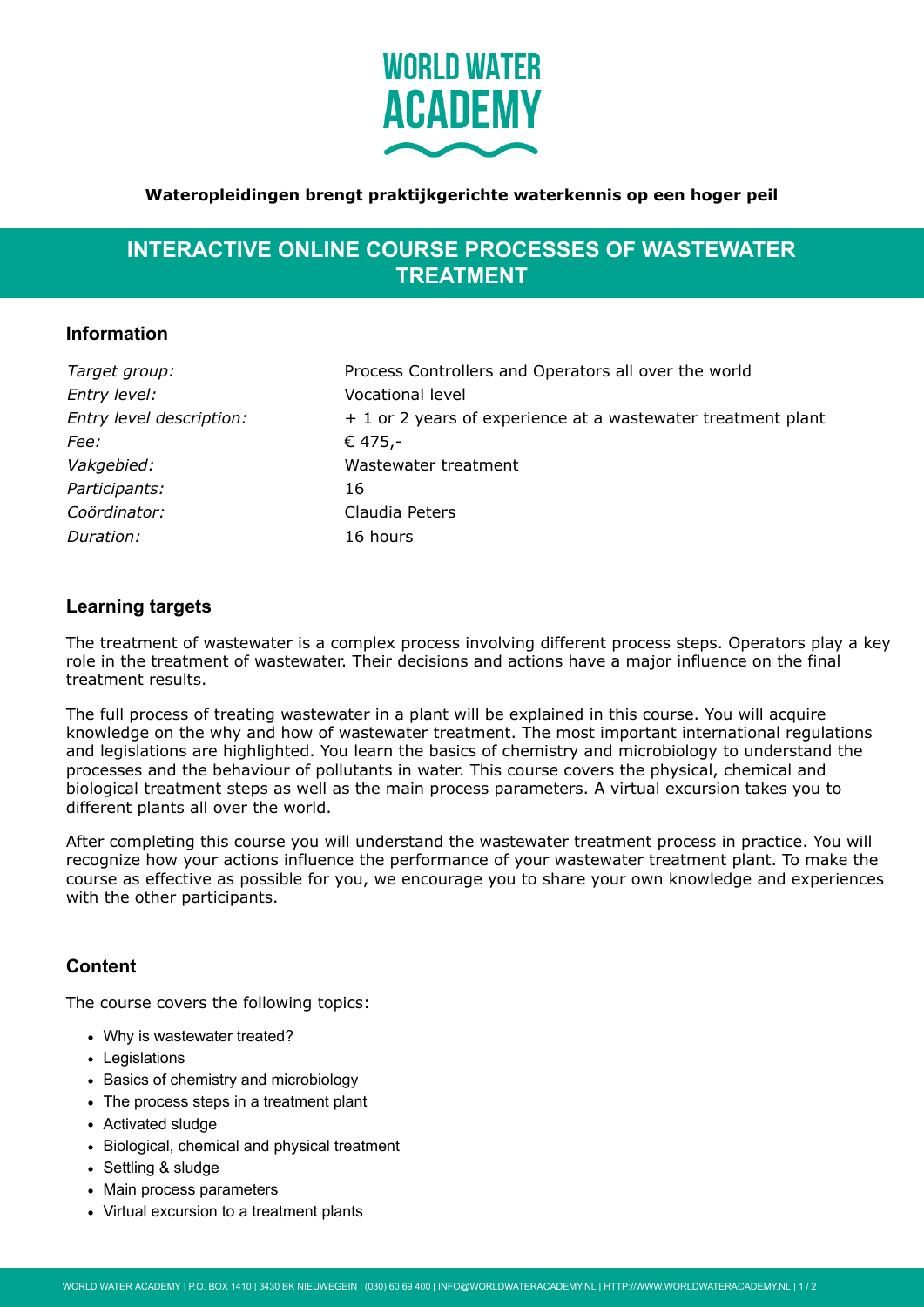

#### **Wateropleidingen brengt praktijkgerichte waterkennis op een hoger peil**

# **INTERACTIVE ONLINE COURSE PROCESSES OF WASTEWATER TREATMENT**

### **Information**

| Target group:            | Process Controllers and Operators all over the world         |
|--------------------------|--------------------------------------------------------------|
| Entry level:             | <b>Vocational level</b>                                      |
| Entry level description: | + 1 or 2 years of experience at a wastewater treatment plant |
| Fee:                     | € 475,-                                                      |
| Vakgebied:               | Wastewater treatment                                         |
| Participants:            | 16                                                           |
| Coördinator:             | Claudia Peters                                               |
| Duration:                | 16 hours                                                     |
|                          |                                                              |

### **Learning targets**

The treatment of wastewater is a complex process involving different process steps. Operators play a key role in the treatment of wastewater. Their decisions and actions have a major influence on the final treatment results.

The full process of treating wastewater in a plant will be explained in this course. You will acquire knowledge on the why and how of wastewater treatment. The most important international regulations and legislations are highlighted. You learn the basics of chemistry and microbiology to understand the processes and the behaviour of pollutants in water. This course covers the physical, chemical and biological treatment steps as well as the main process parameters. A virtual excursion takes you to different plants all over the world.

After completing this course you will understand the wastewater treatment process in practice. You will recognize how your actions influence the performance of your wastewater treatment plant. To make the course as effective as possible for you, we encourage you to share your own knowledge and experiences with the other participants.

## **Content**

The course covers the following topics:

- Why is wastewater treated?
- Legislations
- Basics of chemistry and microbiology
- The process steps in a treatment plant
- Activated sludge
- Biological, chemical and physical treatment
- Settling & sludge
- Main process parameters
- Virtual excursion to a treatment plants